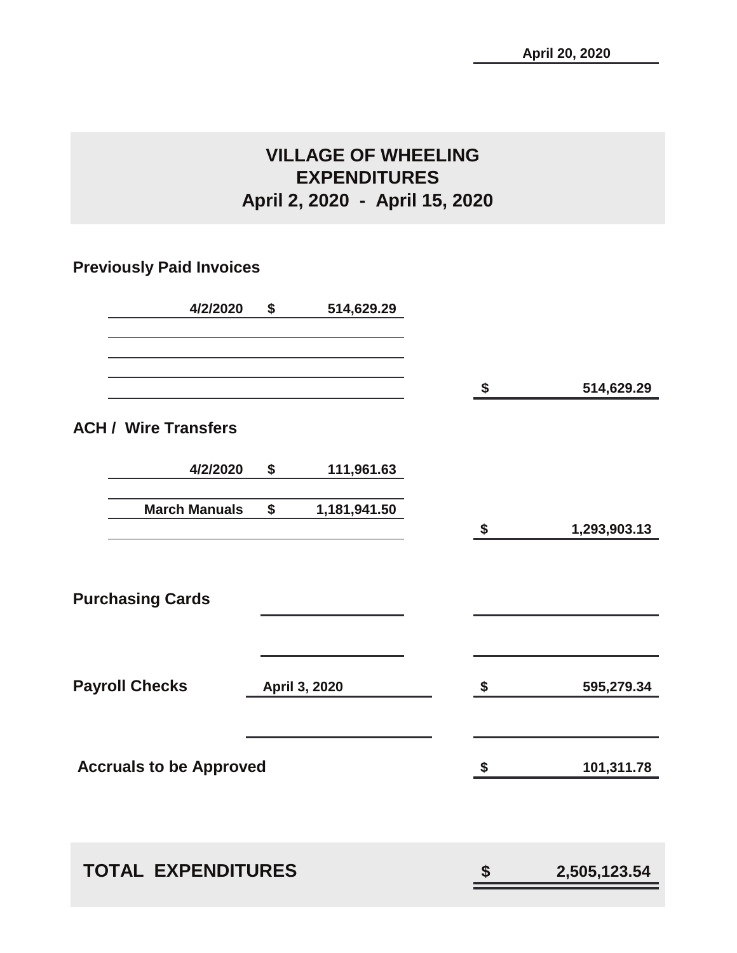## **VILLAGE OF WHEELING EXPENDITURES April 2, 2020 - April 15, 2020**

## **Previously Paid Invoices**

| 4/2/2020                       | \$<br>514,629.29   |                           |                    |
|--------------------------------|--------------------|---------------------------|--------------------|
|                                |                    |                           | \$<br>514,629.29   |
| <b>ACH / Wire Transfers</b>    |                    |                           |                    |
| 4/2/2020                       | \$<br>111,961.63   |                           |                    |
| <b>March Manuals</b>           | \$<br>1,181,941.50 |                           | \$<br>1,293,903.13 |
|                                |                    |                           |                    |
| <b>Purchasing Cards</b>        |                    |                           |                    |
| <b>Payroll Checks</b>          | April 3, 2020      | $\boldsymbol{\hat{\ast}}$ | 595,279.34         |
| <b>Accruals to be Approved</b> |                    |                           | \$<br>101,311.78   |
|                                |                    |                           |                    |
| <b>TOTAL EXPENDITURES</b>      |                    |                           | \$<br>2,505,123.54 |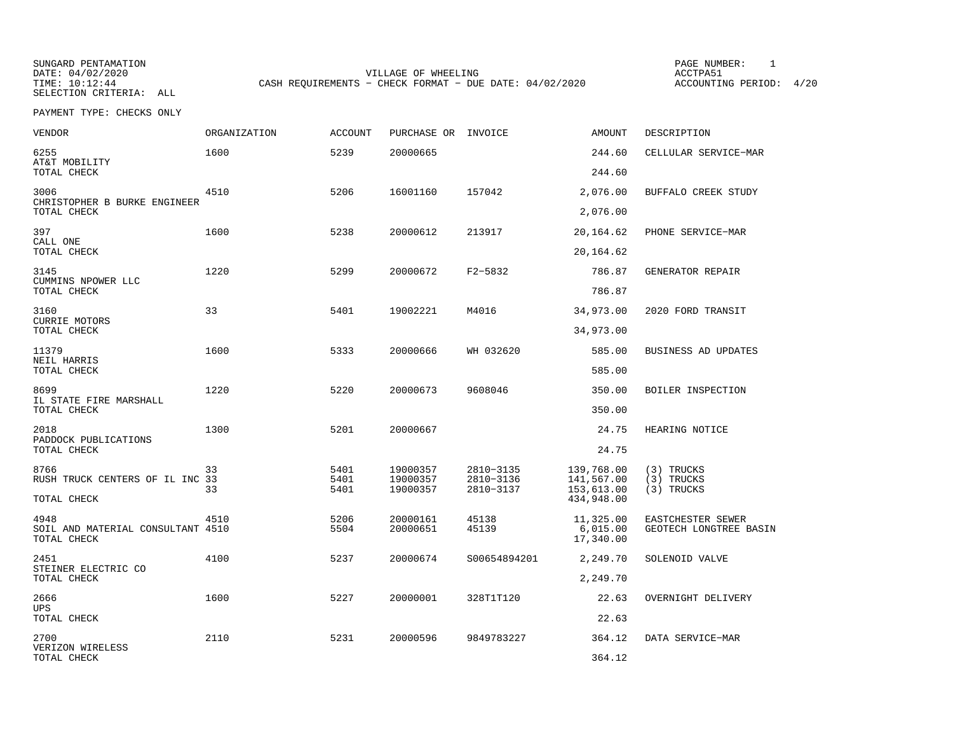SUNGARD PENTAMATION PAGE NUMBER: 1SELECTION CRITERIA: ALL

DATE: 04/02/2020 VILLAGE OF WHEELING ACCTPA51CASH REQUIREMENTS - CHECK FORMAT - DUE DATE: 04/02/2020

ACCOUNTING PERIOD: 4/20

PAYMENT TYPE: CHECKS ONLY

| VENDOR                                                   | <b>ORGANIZATION</b> | <b>ACCOUNT</b> | PURCHASE OR INVOICE  |                | <b>AMOUNT</b>                      | DESCRIPTION                                 |
|----------------------------------------------------------|---------------------|----------------|----------------------|----------------|------------------------------------|---------------------------------------------|
| 6255<br>AT&T MOBILITY                                    | 1600                | 5239           | 20000665             |                | 244.60                             | CELLULAR SERVICE-MAR                        |
| TOTAL CHECK                                              |                     |                |                      |                | 244.60                             |                                             |
| 3006<br>CHRISTOPHER B BURKE ENGINEER                     | 4510                | 5206           | 16001160             | 157042         | 2,076.00                           | BUFFALO CREEK STUDY                         |
| TOTAL CHECK                                              |                     |                |                      |                | 2,076.00                           |                                             |
| 397<br>CALL ONE                                          | 1600                | 5238           | 20000612             | 213917         | 20,164.62                          | PHONE SERVICE-MAR                           |
| TOTAL CHECK                                              |                     |                |                      |                | 20,164.62                          |                                             |
| 3145<br>CUMMINS NPOWER LLC<br>TOTAL CHECK                | 1220                | 5299           | 20000672             | F2-5832        | 786.87<br>786.87                   | GENERATOR REPAIR                            |
|                                                          |                     |                |                      |                |                                    |                                             |
| 3160<br><b>CURRIE MOTORS</b>                             | 33                  | 5401           | 19002221             | M4016          | 34,973.00                          | 2020 FORD TRANSIT                           |
| TOTAL CHECK                                              |                     |                |                      |                | 34,973.00                          |                                             |
| 11379<br>NEIL HARRIS<br>TOTAL CHECK                      | 1600                | 5333           | 20000666             | WH 032620      | 585.00<br>585.00                   | BUSINESS AD UPDATES                         |
|                                                          |                     |                |                      |                |                                    |                                             |
| 8699<br>IL STATE FIRE MARSHALL<br>TOTAL CHECK            | 1220                | 5220           | 20000673             | 9608046        | 350.00<br>350.00                   | BOILER INSPECTION                           |
|                                                          |                     |                |                      |                |                                    |                                             |
| 2018<br>PADDOCK PUBLICATIONS<br>TOTAL CHECK              | 1300                | 5201           | 20000667             |                | 24.75<br>24.75                     | HEARING NOTICE                              |
| 8766                                                     | 33                  | 5401           |                      | 2810-3135      |                                    |                                             |
| RUSH TRUCK CENTERS OF IL INC 33                          |                     | 5401           | 19000357<br>19000357 | 2810-3136      | 139,768.00<br>141,567.00           | (3) TRUCKS<br>(3) TRUCKS                    |
| TOTAL CHECK                                              | 33                  | 5401           | 19000357             | 2810-3137      | 153,613.00<br>434,948.00           | (3) TRUCKS                                  |
| 4948<br>SOIL AND MATERIAL CONSULTANT 4510<br>TOTAL CHECK | 4510                | 5206<br>5504   | 20000161<br>20000651 | 45138<br>45139 | 11,325.00<br>6,015.00<br>17,340.00 | EASTCHESTER SEWER<br>GEOTECH LONGTREE BASIN |
| 2451<br>STEINER ELECTRIC CO                              | 4100                | 5237           | 20000674             | S00654894201   | 2,249.70                           | SOLENOID VALVE                              |
| TOTAL CHECK                                              |                     |                |                      |                | 2,249.70                           |                                             |
| 2666<br><b>UPS</b>                                       | 1600                | 5227           | 20000001             | 328T1T120      | 22.63                              | OVERNIGHT DELIVERY                          |
| TOTAL CHECK                                              |                     |                |                      |                | 22.63                              |                                             |
| 2700<br>VERIZON WIRELESS                                 | 2110                | 5231           | 20000596             | 9849783227     | 364.12                             | DATA SERVICE-MAR                            |
| TOTAL CHECK                                              |                     |                |                      |                | 364.12                             |                                             |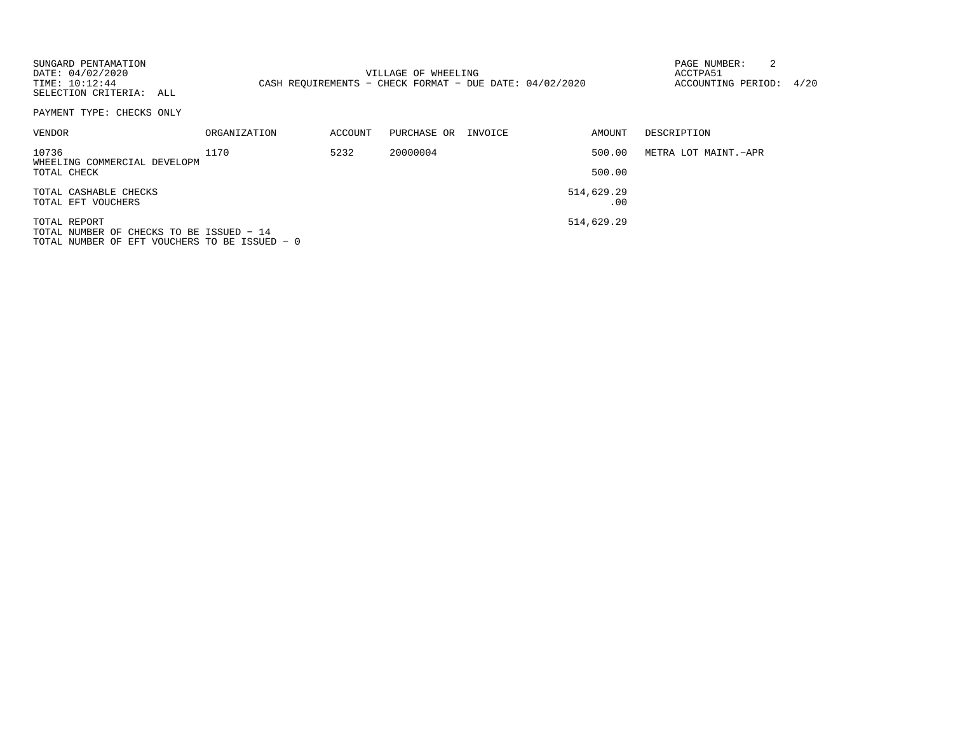| SUNGARD PENTAMATION<br>DATE: 04/02/2020<br>TIME: 10:12:44<br>SELECTION CRITERIA: ALL |                     |         | VILLAGE OF WHEELING<br>CASH REOUIREMENTS - CHECK FORMAT - DUE DATE: 04/02/2020 |         |                   | PAGE NUMBER:<br>ACCTPA51<br>ACCOUNTING PERIOD: | 4/20 |
|--------------------------------------------------------------------------------------|---------------------|---------|--------------------------------------------------------------------------------|---------|-------------------|------------------------------------------------|------|
| PAYMENT TYPE: CHECKS ONLY                                                            |                     |         |                                                                                |         |                   |                                                |      |
| <b>VENDOR</b>                                                                        | <b>ORGANIZATION</b> | ACCOUNT | PURCHASE OR                                                                    | INVOICE | AMOUNT            | DESCRIPTION                                    |      |
| 10736<br>WHEELING COMMERCIAL DEVELOPM                                                | 1170                | 5232    | 20000004                                                                       |         | 500.00            | METRA LOT MAINT.-APR                           |      |
| TOTAL CHECK                                                                          |                     |         |                                                                                |         | 500.00            |                                                |      |
| TOTAL CASHABLE CHECKS<br>TOTAL EFT VOUCHERS                                          |                     |         |                                                                                |         | 514,629.29<br>.00 |                                                |      |
| TOTAL REPORT<br>TOTAL NUMBER OF CHECKS TO BE ISSUED - 14                             |                     |         |                                                                                |         | 514,629.29        |                                                |      |

TOTAL NUMBER OF EFT VOUCHERS TO BE ISSUED − 0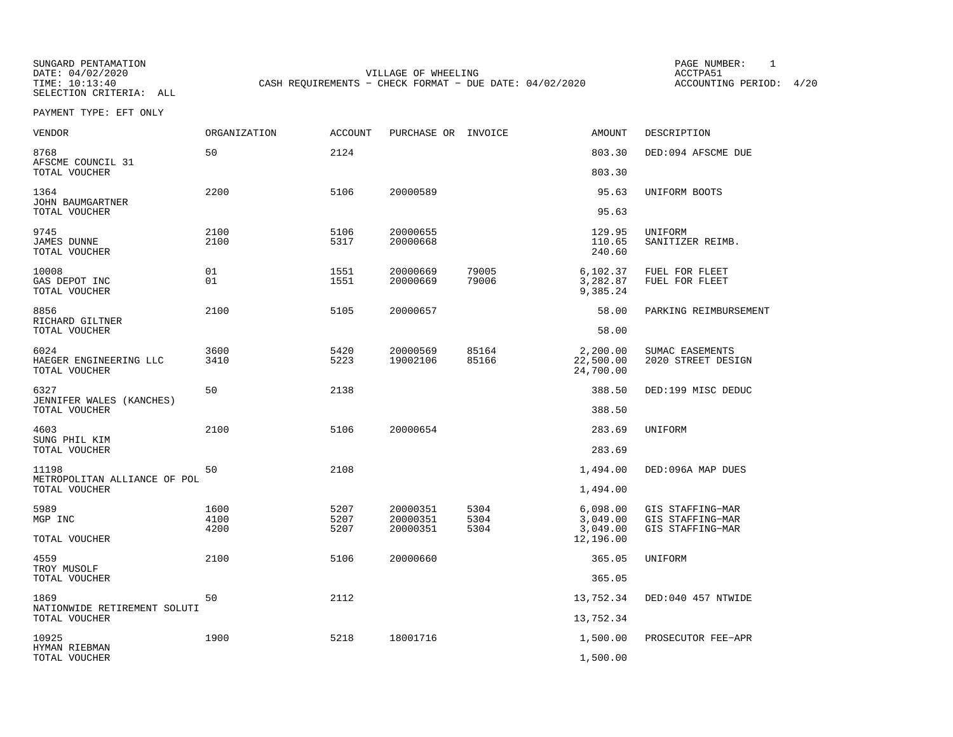SELECTION CRITERIA: ALL

SUNGARD PENTAMATION PAGE NUMBER: 1DATE: 04/02/2020 VILLAGE OF WHEELING ACCTPA51CASH REQUIREMENTS - CHECK FORMAT - DUE DATE: 04/02/2020

ACCOUNTING PERIOD: 4/20

PAYMENT TYPE: EFT ONLY

| <b>VENDOR</b>                                     | ORGANIZATION         | <b>ACCOUNT</b>       | PURCHASE OR INVOICE              |                      | <b>AMOUNT</b>                      | DESCRIPTION                                              |
|---------------------------------------------------|----------------------|----------------------|----------------------------------|----------------------|------------------------------------|----------------------------------------------------------|
| 8768<br>AFSCME COUNCIL 31                         | 50                   | 2124                 |                                  |                      | 803.30                             | DED:094 AFSCME DUE                                       |
| TOTAL VOUCHER                                     |                      |                      |                                  |                      | 803.30                             |                                                          |
| 1364<br>JOHN BAUMGARTNER                          | 2200                 | 5106                 | 20000589                         |                      | 95.63                              | UNIFORM BOOTS                                            |
| TOTAL VOUCHER                                     |                      |                      |                                  |                      | 95.63                              |                                                          |
| 9745<br><b>JAMES DUNNE</b><br>TOTAL VOUCHER       | 2100<br>2100         | 5106<br>5317         | 20000655<br>20000668             |                      | 129.95<br>110.65<br>240.60         | UNIFORM<br>SANITIZER REIMB.                              |
| 10008<br>GAS DEPOT INC<br>TOTAL VOUCHER           | 01<br>01             | 1551<br>1551         | 20000669<br>20000669             | 79005<br>79006       | 6,102.37<br>3,282.87<br>9,385.24   | FUEL FOR FLEET<br>FUEL FOR FLEET                         |
| 8856<br>RICHARD GILTNER                           | 2100                 | 5105                 | 20000657                         |                      | 58.00                              | PARKING REIMBURSEMENT                                    |
| TOTAL VOUCHER                                     |                      |                      |                                  |                      | 58.00                              |                                                          |
| 6024<br>HAEGER ENGINEERING LLC<br>TOTAL VOUCHER   | 3600<br>3410         | 5420<br>5223         | 20000569<br>19002106             | 85164<br>85166       | 2,200.00<br>22,500.00<br>24,700.00 | SUMAC EASEMENTS<br>2020 STREET DESIGN                    |
| 6327<br>JENNIFER WALES (KANCHES)<br>TOTAL VOUCHER | 50                   | 2138                 |                                  |                      | 388.50<br>388.50                   | DED:199 MISC DEDUC                                       |
| 4603<br>SUNG PHIL KIM                             | 2100                 | 5106                 | 20000654                         |                      | 283.69                             | UNIFORM                                                  |
| TOTAL VOUCHER                                     |                      |                      |                                  |                      | 283.69                             |                                                          |
| 11198<br>METROPOLITAN ALLIANCE OF POL             | 50                   | 2108                 |                                  |                      | 1,494.00                           | DED:096A MAP DUES                                        |
| TOTAL VOUCHER                                     |                      |                      |                                  |                      | 1,494.00                           |                                                          |
| 5989<br>MGP INC                                   | 1600<br>4100<br>4200 | 5207<br>5207<br>5207 | 20000351<br>20000351<br>20000351 | 5304<br>5304<br>5304 | 6,098.00<br>3,049.00<br>3,049.00   | GIS STAFFING-MAR<br>GIS STAFFING-MAR<br>GIS STAFFING-MAR |
| TOTAL VOUCHER                                     |                      |                      |                                  |                      | 12,196.00                          |                                                          |
| 4559<br>TROY MUSOLF                               | 2100                 | 5106                 | 20000660                         |                      | 365.05                             | UNIFORM                                                  |
| TOTAL VOUCHER                                     |                      |                      |                                  |                      | 365.05                             |                                                          |
| 1869<br>NATIONWIDE RETIREMENT SOLUTI              | 50                   | 2112                 |                                  |                      | 13,752.34                          | DED:040 457 NTWIDE                                       |
| TOTAL VOUCHER                                     |                      |                      |                                  |                      | 13,752.34                          |                                                          |
| 10925<br>HYMAN RIEBMAN                            | 1900                 | 5218                 | 18001716                         |                      | 1,500.00                           | PROSECUTOR FEE-APR                                       |
| TOTAL VOUCHER                                     |                      |                      |                                  |                      | 1,500.00                           |                                                          |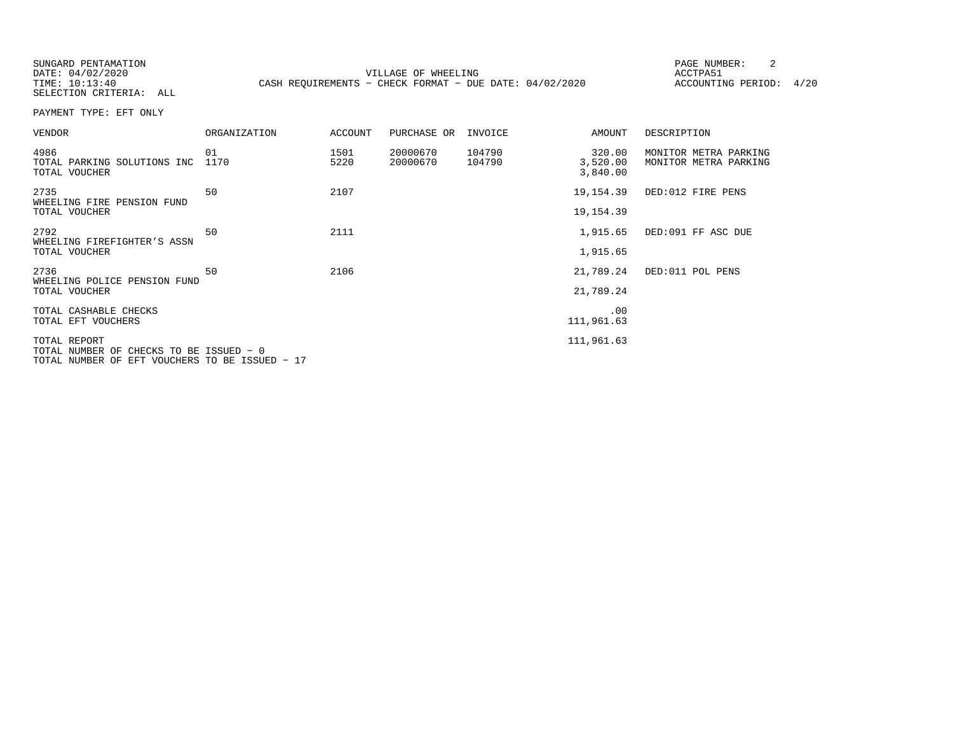| SUNGARD PENTAMATION<br>DATE: 04/02/2020<br>TIME: 10:13:40<br>SELECTION CRITERIA: ALL |                     |              | VILLAGE OF WHEELING<br>CASH REOUIREMENTS - CHECK FORMAT - DUE DATE: $04/02/2020$ |                  |                                | 2<br>PAGE NUMBER:<br>ACCTPA51<br>ACCOUNTING PERIOD: | 4/20 |
|--------------------------------------------------------------------------------------|---------------------|--------------|----------------------------------------------------------------------------------|------------------|--------------------------------|-----------------------------------------------------|------|
| PAYMENT TYPE: EFT ONLY                                                               |                     |              |                                                                                  |                  |                                |                                                     |      |
| <b>VENDOR</b>                                                                        | <b>ORGANIZATION</b> | ACCOUNT      | PURCHASE OR                                                                      | INVOICE          | AMOUNT                         | DESCRIPTION                                         |      |
| 4986<br>TOTAL PARKING SOLUTIONS INC<br>TOTAL VOUCHER                                 | 01<br>1170          | 1501<br>5220 | 20000670<br>20000670                                                             | 104790<br>104790 | 320.00<br>3,520.00<br>3,840.00 | MONITOR METRA PARKING<br>MONITOR METRA PARKING      |      |
| 2735                                                                                 | 50                  | 2107         |                                                                                  |                  | 19,154.39                      | DED:012 FIRE PENS                                   |      |
| WHEELING FIRE PENSION FUND<br>TOTAL VOUCHER                                          |                     |              |                                                                                  |                  | 19, 154.39                     |                                                     |      |
| 2792<br>WHEELING FIREFIGHTER'S ASSN                                                  | 50                  | 2111         |                                                                                  |                  | 1,915.65                       | DED:091 FF ASC DUE                                  |      |
| TOTAL VOUCHER                                                                        |                     |              |                                                                                  |                  | 1,915.65                       |                                                     |      |
| 2736                                                                                 | 50                  | 2106         |                                                                                  |                  | 21,789.24                      | DED:011 POL PENS                                    |      |

111,961.63

WHEELING POLICE PENSION FUNDTOTAL VOUCHER 21,789.24TOTAL CASHABLE CHECKS .00

TOTAL EFT VOUCHERS

TOTAL REPORT 111,961.63 TOTAL NUMBER OF CHECKS TO BE ISSUED − 0

TOTAL NUMBER OF EFT VOUCHERS TO BE ISSUED − 17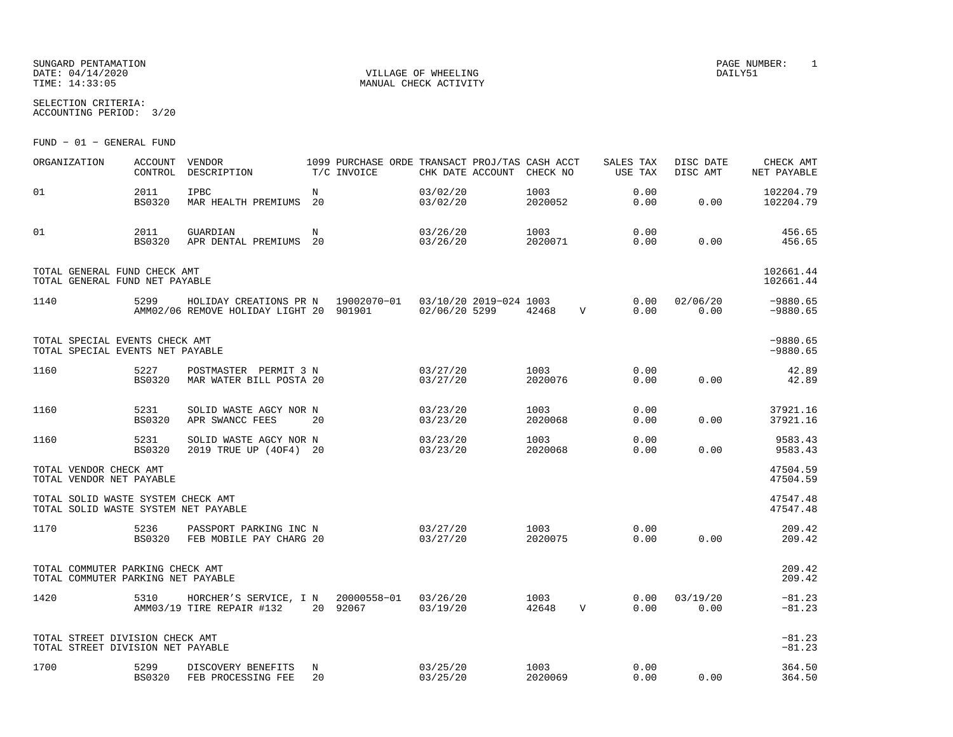SUNGARD PENTAMATION PAGE NUMBER: 1 DATE:  $04/14/2020$  DAILY51 TIME:  $14:33:05$  MANUAL CHECK ACTIVITY

SELECTION CRITERIA:ACCOUNTING PERIOD: 3/20

FUND − 01 − GENERAL FUND

| ORGANIZATION                                                               | <b>ACCOUNT</b><br>CONTROL | VENDOR<br>DESCRIPTION                                                                                |                  | 1099 PURCHASE ORDE TRANSACT PROJ/TAS CASH ACCT<br>T/C INVOICE | CHK DATE ACCOUNT     | CHECK NO        |             | SALES TAX<br>USE TAX | DISC DATE<br>DISC AMT | CHECK AMT<br>NET PAYABLE |
|----------------------------------------------------------------------------|---------------------------|------------------------------------------------------------------------------------------------------|------------------|---------------------------------------------------------------|----------------------|-----------------|-------------|----------------------|-----------------------|--------------------------|
| 01                                                                         | 2011<br><b>BS0320</b>     | IPBC<br>MAR HEALTH PREMIUMS                                                                          | $_{\rm N}$<br>20 |                                                               | 03/02/20<br>03/02/20 | 1003<br>2020052 |             | 0.00<br>0.00         | 0.00                  | 102204.79<br>102204.79   |
| 01                                                                         | 2011<br><b>BS0320</b>     | GUARDIAN<br>APR DENTAL PREMIUMS                                                                      | N<br>20          |                                                               | 03/26/20<br>03/26/20 | 1003<br>2020071 |             | 0.00<br>0.00         | 0.00                  | 456.65<br>456.65         |
| TOTAL GENERAL FUND CHECK AMT<br>TOTAL GENERAL FUND NET PAYABLE             |                           |                                                                                                      |                  |                                                               |                      |                 |             |                      |                       | 102661.44<br>102661.44   |
| 1140                                                                       | 5299                      | HOLIDAY CREATIONS PR N 19002070-01 03/10/20 2019-024 1003<br>AMM02/06 REMOVE HOLIDAY LIGHT 20 901901 |                  |                                                               | 02/06/20 5299        | 42468           | $\mathbf V$ | 0.00<br>0.00         | 02/06/20<br>0.00      | $-9880.65$<br>$-9880.65$ |
| TOTAL SPECIAL EVENTS CHECK AMT<br>TOTAL SPECIAL EVENTS NET PAYABLE         |                           |                                                                                                      |                  |                                                               |                      |                 |             |                      |                       | $-9880.65$<br>$-9880.65$ |
| 1160                                                                       | 5227<br><b>BS0320</b>     | POSTMASTER PERMIT 3 N<br>MAR WATER BILL POSTA 20                                                     |                  |                                                               | 03/27/20<br>03/27/20 | 1003<br>2020076 |             | 0.00<br>0.00         | 0.00                  | 42.89<br>42.89           |
| 1160                                                                       | 5231<br><b>BS0320</b>     | SOLID WASTE AGCY NOR N<br>APR SWANCC FEES                                                            | 20               |                                                               | 03/23/20<br>03/23/20 | 1003<br>2020068 |             | 0.00<br>0.00         | 0.00                  | 37921.16<br>37921.16     |
| 1160                                                                       | 5231<br><b>BS0320</b>     | SOLID WASTE AGCY NOR N<br>2019 TRUE UP (40F4) 20                                                     |                  |                                                               | 03/23/20<br>03/23/20 | 1003<br>2020068 |             | 0.00<br>0.00         | 0.00                  | 9583.43<br>9583.43       |
| TOTAL VENDOR CHECK AMT<br>TOTAL VENDOR NET PAYABLE                         |                           |                                                                                                      |                  |                                                               |                      |                 |             |                      |                       | 47504.59<br>47504.59     |
| TOTAL SOLID WASTE SYSTEM CHECK AMT<br>TOTAL SOLID WASTE SYSTEM NET PAYABLE |                           |                                                                                                      |                  |                                                               |                      |                 |             |                      |                       | 47547.48<br>47547.48     |
| 1170                                                                       | 5236<br>BS0320            | PASSPORT PARKING INC N<br>FEB MOBILE PAY CHARG 20                                                    |                  |                                                               | 03/27/20<br>03/27/20 | 1003<br>2020075 |             | 0.00<br>0.00         | 0.00                  | 209.42<br>209.42         |
| TOTAL COMMUTER PARKING CHECK AMT<br>TOTAL COMMUTER PARKING NET PAYABLE     |                           |                                                                                                      |                  |                                                               |                      |                 |             |                      |                       | 209.42<br>209.42         |
| 1420                                                                       | 5310                      | HORCHER'S SERVICE, I N 20000558-01<br>AMM03/19 TIRE REPAIR #132                                      |                  | 20 92067                                                      | 03/26/20<br>03/19/20 | 1003<br>42648   | V           | 0.00<br>0.00         | 03/19/20<br>0.00      | $-81.23$<br>$-81.23$     |
| TOTAL STREET DIVISION CHECK AMT<br>TOTAL STREET DIVISION NET PAYABLE       |                           |                                                                                                      |                  |                                                               |                      |                 |             |                      |                       | $-81.23$<br>$-81.23$     |
| 1700                                                                       | 5299<br>BS0320            | DISCOVERY BENEFITS<br>FEB PROCESSING FEE                                                             | N<br>20          |                                                               | 03/25/20<br>03/25/20 | 1003<br>2020069 |             | 0.00<br>0.00         | 0.00                  | 364.50<br>364.50         |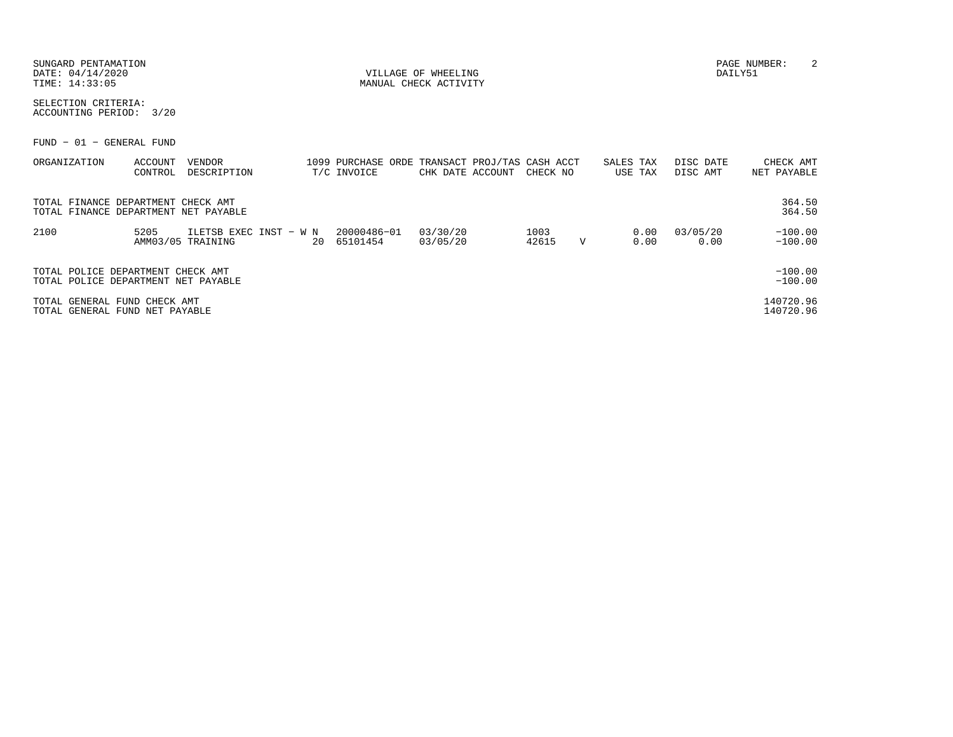|                                                                          | SUNGARD PENTAMATION<br>DATE: 04/14/2020<br>TIME: 14:33:05 |                    |                                      |  |  |                                                               | VILLAGE OF WHEELING<br>MANUAL CHECK ACTIVITY |                           |               |             |                      |                       |                          |
|--------------------------------------------------------------------------|-----------------------------------------------------------|--------------------|--------------------------------------|--|--|---------------------------------------------------------------|----------------------------------------------|---------------------------|---------------|-------------|----------------------|-----------------------|--------------------------|
| SELECTION CRITERIA:<br>ACCOUNTING PERIOD: 3/20                           |                                                           |                    |                                      |  |  |                                                               |                                              |                           |               |             |                      |                       |                          |
| FUND - 01 - GENERAL FUND                                                 |                                                           |                    |                                      |  |  |                                                               |                                              |                           |               |             |                      |                       |                          |
| ORGANIZATION                                                             |                                                           | ACCOUNT<br>CONTROL | VENDOR<br>DESCRIPTION                |  |  | 1099 PURCHASE ORDE TRANSACT PROJ/TAS CASH ACCT<br>T/C INVOICE |                                              | CHK DATE ACCOUNT CHECK NO |               |             | SALES TAX<br>USE TAX | DISC DATE<br>DISC AMT | CHECK AMT<br>NET PAYABLE |
| TOTAL FINANCE DEPARTMENT CHECK AMT                                       |                                                           |                    | TOTAL FINANCE DEPARTMENT NET PAYABLE |  |  |                                                               |                                              |                           |               |             |                      |                       | 364.50<br>364.50         |
| 2100                                                                     |                                                           | 5205               | AMM03/05 TRAINING                    |  |  | ILETSB EXEC INST - W N 20000486-01<br>20 65101454             | 03/30/20<br>03/05/20                         |                           | 1003<br>42615 | $\mathbf v$ | 0.00<br>0.00         | 03/05/20<br>0.00      | $-100.00$<br>$-100.00$   |
| TOTAL POLICE DEPARTMENT CHECK AMT<br>TOTAL POLICE DEPARTMENT NET PAYABLE |                                                           |                    |                                      |  |  |                                                               |                                              |                           |               |             |                      |                       | $-100.00$<br>$-100.00$   |
| TOTAL GENERAL FUND CHECK AMT<br>TOTAL GENERAL FUND NET PAYABLE           |                                                           |                    |                                      |  |  |                                                               |                                              |                           |               |             |                      |                       | 140720.96<br>140720.96   |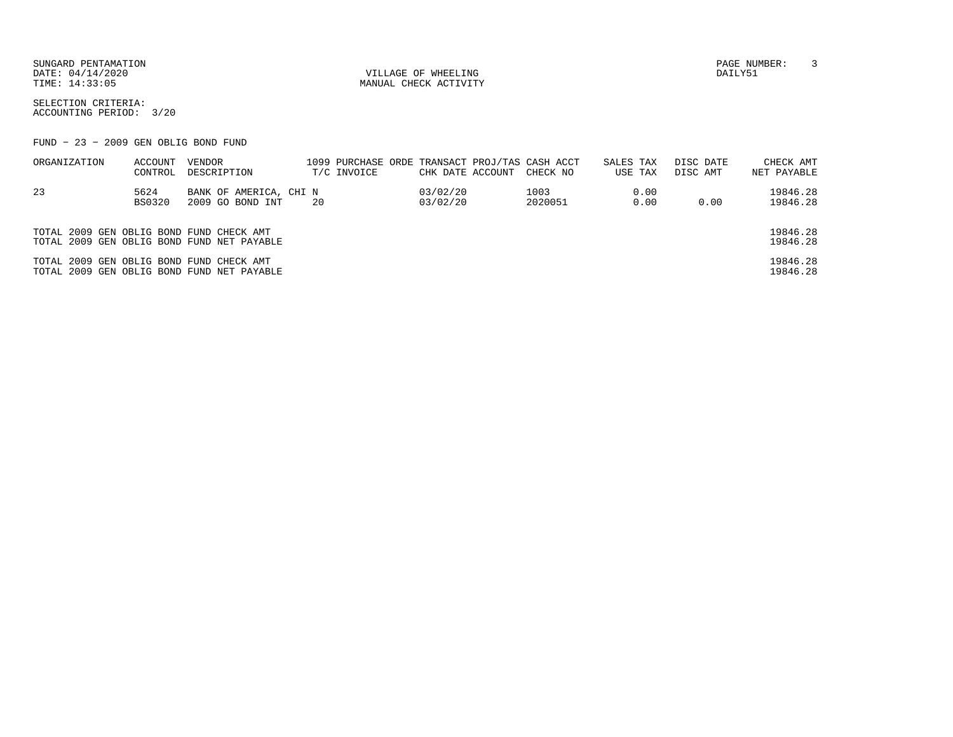SUNGARD PENTAMATION PAGE NUMBER: 3DATE:  $04/14/2020$  DAILY51

TIME:  $14:33:05$  MANUAL CHECK ACTIVITY

SELECTION CRITERIA:ACCOUNTING PERIOD: 3/20

FUND − 23 − 2009 GEN OBLIG BOND FUND

| ORGANIZATION                             | ACCOUNT<br>CONTROL    | VENDOR<br>DESCRIPTION                      | 1099 PURCHASE ORDE TRANSACT PROJ/TAS CASH ACCT<br>T/C INVOICE | CHK DATE ACCOUNT     | CHECK NO        | SALES TAX<br>USE TAX | DISC DATE<br>DISC AMT | CHECK AMT<br>NET PAYABLE |
|------------------------------------------|-----------------------|--------------------------------------------|---------------------------------------------------------------|----------------------|-----------------|----------------------|-----------------------|--------------------------|
| 23                                       | 5624<br><b>BS0320</b> | BANK OF AMERICA, CHI N<br>2009 GO BOND INT | 20                                                            | 03/02/20<br>03/02/20 | 1003<br>2020051 | 0.00<br>0.00         | 0.00                  | 19846.28<br>19846.28     |
| TOTAL 2009 GEN OBLIG BOND FUND CHECK AMT |                       | TOTAL 2009 GEN OBLIG BOND FUND NET PAYABLE |                                                               |                      |                 |                      |                       | 19846.28<br>19846.28     |
| TOTAL 2009 GEN OBLIG BOND FUND CHECK AMT |                       | TOTAL 2009 GEN OBLIG BOND FUND NET PAYABLE |                                                               |                      |                 |                      |                       | 19846.28<br>19846.28     |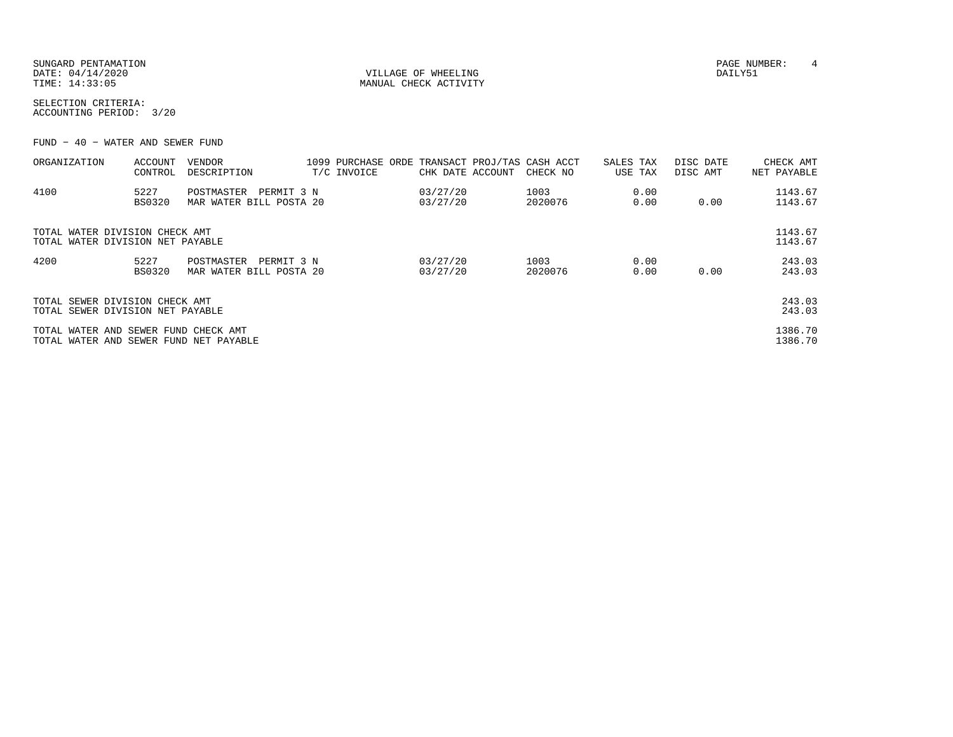| SUNGARD PENTAMATION |                       | PAGE NUMBER: |  |
|---------------------|-----------------------|--------------|--|
| DATE: 04/14/2020    | VILLAGE OF WHEELING   | DAILY51      |  |
| TIME: 14:33:05      | MANUAL CHECK ACTIVITY |              |  |

SELECTION CRITERIA:ACCOUNTING PERIOD: 3/20

FUND − 40 − WATER AND SEWER FUND

| ORGANIZATION                                                                   | ACCOUNT<br>CONTROL | VENDOR<br>DESCRIPTION                               | T/C INVOICE | CHK DATE ACCOUNT     | 1099 PURCHASE ORDE TRANSACT PROJ/TAS CASH ACCT<br>CHECK NO | SALES TAX<br>USE TAX | DISC DATE<br>DISC AMT | CHECK AMT<br>NET PAYABLE |
|--------------------------------------------------------------------------------|--------------------|-----------------------------------------------------|-------------|----------------------|------------------------------------------------------------|----------------------|-----------------------|--------------------------|
| 4100                                                                           | 5227<br>BS0320     | POSTMASTER<br>PERMIT 3 N<br>MAR WATER BILL POSTA 20 |             | 03/27/20<br>03/27/20 | 1003<br>2020076                                            | 0.00<br>0.00         | 0.00                  | 1143.67<br>1143.67       |
| TOTAL WATER DIVISION CHECK AMT<br>TOTAL WATER DIVISION NET PAYABLE             |                    |                                                     |             |                      |                                                            |                      |                       | 1143.67<br>1143.67       |
| 4200                                                                           | 5227<br>BS0320     | POSTMASTER<br>PERMIT 3 N<br>MAR WATER BILL POSTA 20 |             | 03/27/20<br>03/27/20 | 1003<br>2020076                                            | 0.00<br>0.00         | 0.00                  | 243.03<br>243.03         |
| TOTAL SEWER DIVISION CHECK AMT<br>TOTAL SEWER DIVISION NET PAYABLE             |                    |                                                     |             |                      |                                                            |                      |                       | 243.03<br>243.03         |
| TOTAL WATER AND SEWER FUND CHECK AMT<br>TOTAL WATER AND SEWER FUND NET PAYABLE |                    |                                                     |             |                      |                                                            |                      |                       | 1386.70<br>1386.70       |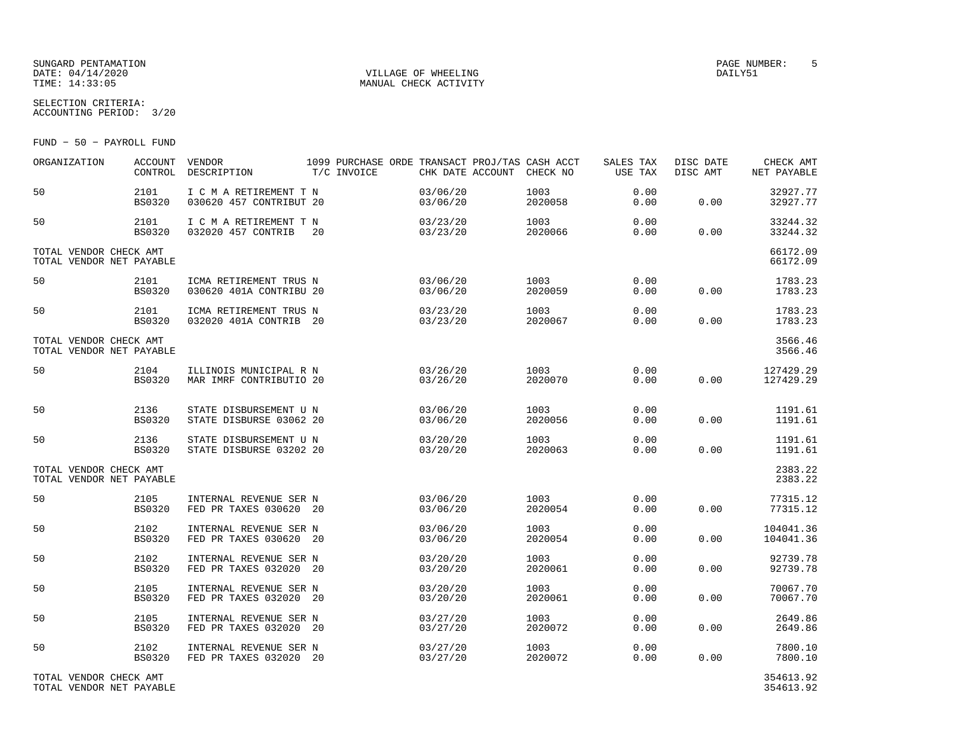### SUNGARD PENTAMATION SUNGARD PENTAMATION SUNGARD PAGE NUMBER: 5 SECRETARY PAGE NUMBER: 5 SECRETARY PAGE NUMBER: 5 SECRETARY PAGE NUMBER: 5 SECRETARY PAGE NUMBER: 5 SECRETARY PAGE NUMBER: 5 SECRETARY PAGE NUMBER: 5 SECRETARY  $\begin{array}{cccc}\texttt{DATE:} & 04/14/2020\\ \texttt{TIME:} & 14:33:05\\ \end{array}\qquad \qquad \begin{array}{cccc}\texttt{VILLAGE OF WHERELING}\\ \texttt{MANUAL CHECK ACTIVITY} \end{array}$

MANUAL CHECK ACTIVITY

SELECTION CRITERIA:ACCOUNTING PERIOD: 3/20

FUND − 50 − PAYROLL FUND

| ORGANIZATION                                       | <b>ACCOUNT</b><br>CONTROL | VENDOR<br>DESCRIPTION                             | 1099 PURCHASE ORDE TRANSACT PROJ/TAS CASH ACCT<br>T/C INVOICE | CHK DATE ACCOUNT CHECK NO |                 | SALES TAX<br>USE TAX | DISC DATE<br>DISC AMT | CHECK AMT<br>NET PAYABLE |
|----------------------------------------------------|---------------------------|---------------------------------------------------|---------------------------------------------------------------|---------------------------|-----------------|----------------------|-----------------------|--------------------------|
| 50                                                 | 2101<br><b>BS0320</b>     | I C M A RETIREMENT T N<br>030620 457 CONTRIBUT 20 |                                                               | 03/06/20<br>03/06/20      | 1003<br>2020058 | 0.00<br>0.00         | 0.00                  | 32927.77<br>32927.77     |
| 50                                                 | 2101<br><b>BS0320</b>     | I C M A RETIREMENT T N<br>032020 457 CONTRIB      | 20                                                            | 03/23/20<br>03/23/20      | 1003<br>2020066 | 0.00<br>0.00         | 0.00                  | 33244.32<br>33244.32     |
| TOTAL VENDOR CHECK AMT<br>TOTAL VENDOR NET PAYABLE |                           |                                                   |                                                               |                           |                 |                      |                       | 66172.09<br>66172.09     |
| 50                                                 | 2101<br><b>BS0320</b>     | ICMA RETIREMENT TRUS N<br>030620 401A CONTRIBU 20 |                                                               | 03/06/20<br>03/06/20      | 1003<br>2020059 | 0.00<br>0.00         | 0.00                  | 1783.23<br>1783.23       |
| 50                                                 | 2101<br><b>BS0320</b>     | ICMA RETIREMENT TRUS N<br>032020 401A CONTRIB 20  |                                                               | 03/23/20<br>03/23/20      | 1003<br>2020067 | 0.00<br>0.00         | 0.00                  | 1783.23<br>1783.23       |
| TOTAL VENDOR CHECK AMT<br>TOTAL VENDOR NET PAYABLE |                           |                                                   |                                                               |                           |                 |                      |                       | 3566.46<br>3566.46       |
| 50                                                 | 2104<br><b>BS0320</b>     | ILLINOIS MUNICIPAL R N<br>MAR IMRF CONTRIBUTIO 20 |                                                               | 03/26/20<br>03/26/20      | 1003<br>2020070 | 0.00<br>0.00         | 0.00                  | 127429.29<br>127429.29   |
| 50                                                 | 2136<br><b>BS0320</b>     | STATE DISBURSEMENT U N<br>STATE DISBURSE 03062 20 |                                                               | 03/06/20<br>03/06/20      | 1003<br>2020056 | 0.00<br>0.00         | 0.00                  | 1191.61<br>1191.61       |
| 50                                                 | 2136<br><b>BS0320</b>     | STATE DISBURSEMENT U N<br>STATE DISBURSE 03202 20 |                                                               | 03/20/20<br>03/20/20      | 1003<br>2020063 | 0.00<br>0.00         | 0.00                  | 1191.61<br>1191.61       |
| TOTAL VENDOR CHECK AMT<br>TOTAL VENDOR NET PAYABLE |                           |                                                   |                                                               |                           |                 |                      |                       | 2383.22<br>2383.22       |
| 50                                                 | 2105<br><b>BS0320</b>     | INTERNAL REVENUE SER N<br>FED PR TAXES 030620 20  |                                                               | 03/06/20<br>03/06/20      | 1003<br>2020054 | 0.00<br>0.00         | 0.00                  | 77315.12<br>77315.12     |
| 50                                                 | 2102<br><b>BS0320</b>     | INTERNAL REVENUE SER N<br>FED PR TAXES 030620 20  |                                                               | 03/06/20<br>03/06/20      | 1003<br>2020054 | 0.00<br>0.00         | 0.00                  | 104041.36<br>104041.36   |
| 50                                                 | 2102<br><b>BS0320</b>     | INTERNAL REVENUE SER N<br>FED PR TAXES 032020 20  |                                                               | 03/20/20<br>03/20/20      | 1003<br>2020061 | 0.00<br>0.00         | 0.00                  | 92739.78<br>92739.78     |
| 50                                                 | 2105<br><b>BS0320</b>     | INTERNAL REVENUE SER N<br>FED PR TAXES 032020 20  |                                                               | 03/20/20<br>03/20/20      | 1003<br>2020061 | 0.00<br>0.00         | 0.00                  | 70067.70<br>70067.70     |
| 50                                                 | 2105<br><b>BS0320</b>     | INTERNAL REVENUE SER N<br>FED PR TAXES 032020 20  |                                                               | 03/27/20<br>03/27/20      | 1003<br>2020072 | 0.00<br>0.00         | 0.00                  | 2649.86<br>2649.86       |
| 50                                                 | 2102<br><b>BS0320</b>     | INTERNAL REVENUE SER N<br>FED PR TAXES 032020 20  |                                                               | 03/27/20<br>03/27/20      | 1003<br>2020072 | 0.00<br>0.00         | 0.00                  | 7800.10<br>7800.10       |
| TOTAL VENDOR CHECK AMT<br>TOTAL VENDOR NET PAYABLE |                           |                                                   |                                                               |                           |                 |                      |                       | 354613.92<br>354613.92   |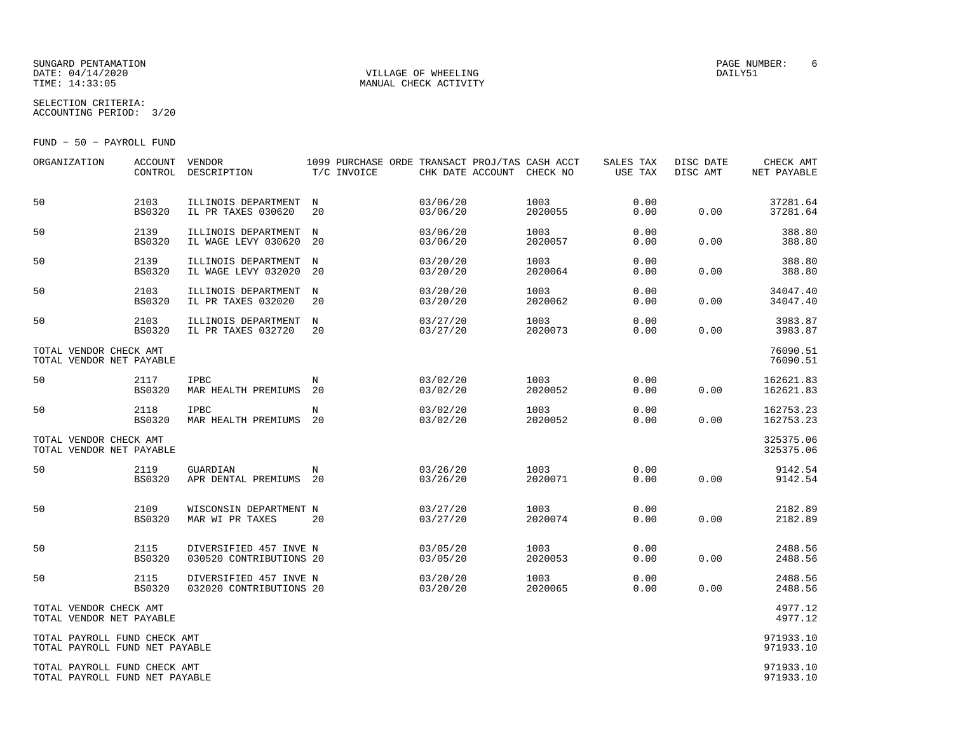#### SUNGARD PENTAMATION PAGE NUMBER: 6DATE:  $04/14/2020$  DAILY51

SELECTION CRITERIA:

TIME:  $14:33:05$  MANUAL CHECK ACTIVITY

ACCOUNTING PERIOD: 3/20

FUND − 50 − PAYROLL FUND

| ORGANIZATION                                                   | ACCOUNT<br>CONTROL    | VENDOR<br>DESCRIPTION                             | 1099 PURCHASE ORDE TRANSACT PROJ/TAS CASH ACCT<br>T/C INVOICE | CHK DATE ACCOUNT     | CHECK NO        | SALES TAX<br>USE TAX | DISC DATE<br>DISC AMT | CHECK AMT<br>NET PAYABLE |
|----------------------------------------------------------------|-----------------------|---------------------------------------------------|---------------------------------------------------------------|----------------------|-----------------|----------------------|-----------------------|--------------------------|
| 50                                                             | 2103<br><b>BS0320</b> | ILLINOIS DEPARTMENT<br>IL PR TAXES 030620         | N<br>20                                                       | 03/06/20<br>03/06/20 | 1003<br>2020055 | 0.00<br>0.00         | 0.00                  | 37281.64<br>37281.64     |
| 50                                                             | 2139<br><b>BS0320</b> | ILLINOIS DEPARTMENT<br>IL WAGE LEVY 030620        | $_{\rm N}$<br>20                                              | 03/06/20<br>03/06/20 | 1003<br>2020057 | 0.00<br>0.00         | 0.00                  | 388.80<br>388.80         |
| 50                                                             | 2139<br><b>BS0320</b> | ILLINOIS DEPARTMENT<br>IL WAGE LEVY 032020        | N<br>20                                                       | 03/20/20<br>03/20/20 | 1003<br>2020064 | 0.00<br>0.00         | 0.00                  | 388.80<br>388.80         |
| 50                                                             | 2103<br><b>BS0320</b> | ILLINOIS DEPARTMENT<br>IL PR TAXES 032020         | N<br>20                                                       | 03/20/20<br>03/20/20 | 1003<br>2020062 | 0.00<br>0.00         | 0.00                  | 34047.40<br>34047.40     |
| 50                                                             | 2103<br><b>BS0320</b> | ILLINOIS DEPARTMENT<br>IL PR TAXES 032720         | N<br>20                                                       | 03/27/20<br>03/27/20 | 1003<br>2020073 | 0.00<br>0.00         | 0.00                  | 3983.87<br>3983.87       |
| TOTAL VENDOR CHECK AMT<br>TOTAL VENDOR NET PAYABLE             |                       |                                                   |                                                               |                      |                 |                      |                       | 76090.51<br>76090.51     |
| 50                                                             | 2117<br><b>BS0320</b> | IPBC<br>MAR HEALTH PREMIUMS                       | N<br>20                                                       | 03/02/20<br>03/02/20 | 1003<br>2020052 | 0.00<br>0.00         | 0.00                  | 162621.83<br>162621.83   |
| 50                                                             | 2118<br><b>BS0320</b> | IPBC<br>MAR HEALTH PREMIUMS                       | N<br>-20                                                      | 03/02/20<br>03/02/20 | 1003<br>2020052 | 0.00<br>0.00         | 0.00                  | 162753.23<br>162753.23   |
| TOTAL VENDOR CHECK AMT<br>TOTAL VENDOR NET PAYABLE             |                       |                                                   |                                                               |                      |                 |                      |                       | 325375.06<br>325375.06   |
| 50                                                             | 2119<br><b>BS0320</b> | GUARDIAN<br>APR DENTAL PREMIUMS                   | N<br>20                                                       | 03/26/20<br>03/26/20 | 1003<br>2020071 | 0.00<br>0.00         | 0.00                  | 9142.54<br>9142.54       |
| 50                                                             | 2109<br><b>BS0320</b> | WISCONSIN DEPARTMENT N<br>MAR WI PR TAXES         | 20                                                            | 03/27/20<br>03/27/20 | 1003<br>2020074 | 0.00<br>0.00         | 0.00                  | 2182.89<br>2182.89       |
| 50                                                             | 2115<br><b>BS0320</b> | DIVERSIFIED 457 INVE N<br>030520 CONTRIBUTIONS 20 |                                                               | 03/05/20<br>03/05/20 | 1003<br>2020053 | 0.00<br>0.00         | 0.00                  | 2488.56<br>2488.56       |
| 50                                                             | 2115<br><b>BS0320</b> | DIVERSIFIED 457 INVE N<br>032020 CONTRIBUTIONS 20 |                                                               | 03/20/20<br>03/20/20 | 1003<br>2020065 | 0.00<br>0.00         | 0.00                  | 2488.56<br>2488.56       |
| TOTAL VENDOR CHECK AMT<br>TOTAL VENDOR NET PAYABLE             |                       |                                                   |                                                               |                      |                 |                      |                       | 4977.12<br>4977.12       |
| TOTAL PAYROLL FUND CHECK AMT<br>TOTAL PAYROLL FUND NET PAYABLE |                       |                                                   |                                                               |                      |                 |                      |                       | 971933.10<br>971933.10   |
| TOTAL PAYROLL FUND CHECK AMT<br>TOTAL PAYROLL FUND NET PAYABLE |                       |                                                   |                                                               |                      |                 |                      |                       | 971933.10<br>971933.10   |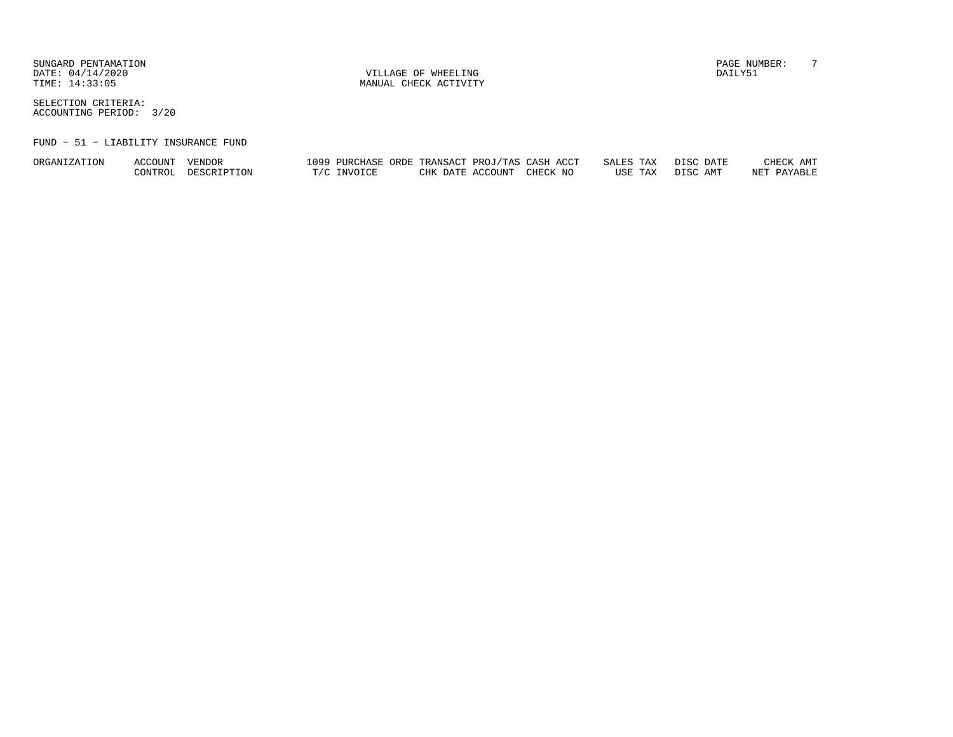SUNGARD PENTAMATION PAGE NUMBER: T DATE:  $04/14/2020$  DAILY51

TIME:  $14:33:05$  MANUAL CHECK ACTIVITY

SELECTION CRITERIA:ACCOUNTING PERIOD: 3/20

#### FUND − 51 − LIABILITY INSURANCE FUND

| ORGANIZATION | <b>ACCOUNT</b> | VENDOR      | ⊥099 | PURCHASE | TRANSACT<br>ORDE | 'TAS<br>PROJ | ACCT<br>CASH | TAX<br>ח הי<br>$\cap \pi$<br>SALES. | חפדת<br>DATE | AMT<br>CHECK |
|--------------|----------------|-------------|------|----------|------------------|--------------|--------------|-------------------------------------|--------------|--------------|
|              | CONTROL        | DESCRIPTION |      | INVOICE  | DATE.<br>CHK     | ላCCOUNT      | CHECK NO     | TAX<br>USE                          | DISC AMT     | NET PAYABLE  |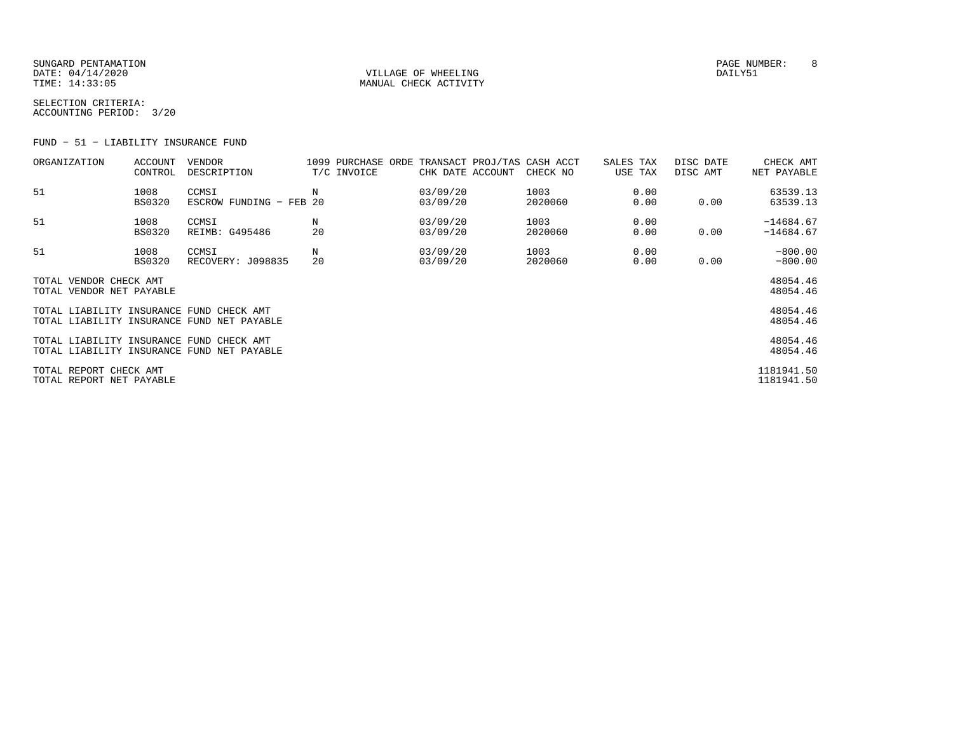SUNGARD PENTAMATION PAGE NUMBER: 8DATE:  $04/14/2020$  DAILY51 TIME:  $14:33:05$  MANUAL CHECK ACTIVITY

SELECTION CRITERIA:ACCOUNTING PERIOD: 3/20

FUND − 51 − LIABILITY INSURANCE FUND

| ORGANIZATION                                       | ACCOUNT<br>CONTROL    | <b>VENDOR</b><br>DESCRIPTION               |           | 1099 PURCHASE ORDE TRANSACT PROJ/TAS CASH ACCT<br>T/C INVOICE | CHK DATE ACCOUNT     | CHECK NO        | SALES TAX<br>USE TAX | DISC DATE<br>DISC AMT | CHECK AMT<br>NET PAYABLE   |
|----------------------------------------------------|-----------------------|--------------------------------------------|-----------|---------------------------------------------------------------|----------------------|-----------------|----------------------|-----------------------|----------------------------|
| 51                                                 | 1008<br><b>BS0320</b> | CCMSI<br>ESCROW FUNDING - FEB              | Ν<br>- 20 |                                                               | 03/09/20<br>03/09/20 | 1003<br>2020060 | 0.00<br>0.00         | 0.00                  | 63539.13<br>63539.13       |
| 51                                                 | 1008<br><b>BS0320</b> | CCMSI<br>REIMB: G495486                    | Ν<br>20   |                                                               | 03/09/20<br>03/09/20 | 1003<br>2020060 | 0.00<br>0.00         | 0.00                  | $-14684.67$<br>$-14684.67$ |
| 51                                                 | 1008<br>BS0320        | CCMSI<br>RECOVERY: J098835                 | Ν<br>20   |                                                               | 03/09/20<br>03/09/20 | 1003<br>2020060 | 0.00<br>0.00         | 0.00                  | $-800.00$<br>$-800.00$     |
| TOTAL VENDOR CHECK AMT<br>TOTAL VENDOR NET PAYABLE |                       |                                            |           |                                                               |                      |                 |                      |                       | 48054.46<br>48054.46       |
| TOTAL LIABILITY INSURANCE FUND CHECK AMT           |                       | TOTAL LIABILITY INSURANCE FUND NET PAYABLE |           |                                                               |                      |                 |                      |                       | 48054.46<br>48054.46       |
| TOTAL LIABILITY INSURANCE FUND CHECK AMT           |                       | TOTAL LIABILITY INSURANCE FUND NET PAYABLE |           |                                                               |                      |                 |                      |                       | 48054.46<br>48054.46       |
| TOTAL REPORT CHECK AMT<br>TOTAL REPORT NET PAYABLE |                       |                                            |           |                                                               |                      |                 |                      |                       | 1181941.50<br>1181941.50   |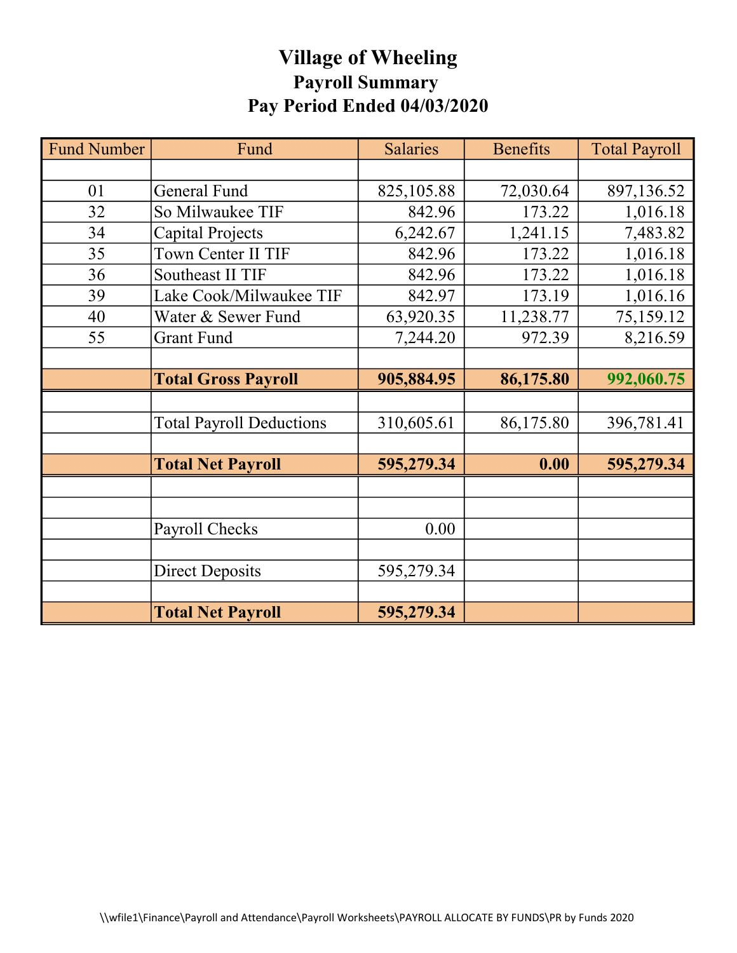# Village of Wheeling Payroll Summary Pay Period Ended 04/03/2020

| <b>Fund Number</b> | Fund                            | <b>Salaries</b> | <b>Benefits</b> | <b>Total Payroll</b> |
|--------------------|---------------------------------|-----------------|-----------------|----------------------|
|                    |                                 |                 |                 |                      |
| 01                 | General Fund                    | 825,105.88      | 72,030.64       | 897,136.52           |
| 32                 | So Milwaukee TIF                | 842.96          | 173.22          | 1,016.18             |
| 34                 | Capital Projects                | 6,242.67        | 1,241.15        | 7,483.82             |
| 35                 | Town Center II TIF              | 842.96          | 173.22          | 1,016.18             |
| 36                 | Southeast II TIF                | 842.96          | 173.22          | 1,016.18             |
| 39                 | Lake Cook/Milwaukee TIF         | 842.97          | 173.19          | 1,016.16             |
| 40                 | Water & Sewer Fund              | 63,920.35       | 11,238.77       | 75,159.12            |
| 55                 | <b>Grant Fund</b>               | 7,244.20        | 972.39          | 8,216.59             |
|                    |                                 |                 |                 |                      |
|                    | <b>Total Gross Payroll</b>      | 905,884.95      | 86,175.80       | 992,060.75           |
|                    |                                 |                 |                 |                      |
|                    | <b>Total Payroll Deductions</b> | 310,605.61      | 86,175.80       | 396,781.41           |
|                    |                                 |                 |                 |                      |
|                    | <b>Total Net Payroll</b>        | 595,279.34      | 0.00            | 595,279.34           |
|                    |                                 |                 |                 |                      |
|                    |                                 |                 |                 |                      |
|                    | Payroll Checks                  | 0.00            |                 |                      |
|                    |                                 |                 |                 |                      |
|                    | <b>Direct Deposits</b>          | 595,279.34      |                 |                      |
|                    |                                 |                 |                 |                      |
|                    | <b>Total Net Payroll</b>        | 595,279.34      |                 |                      |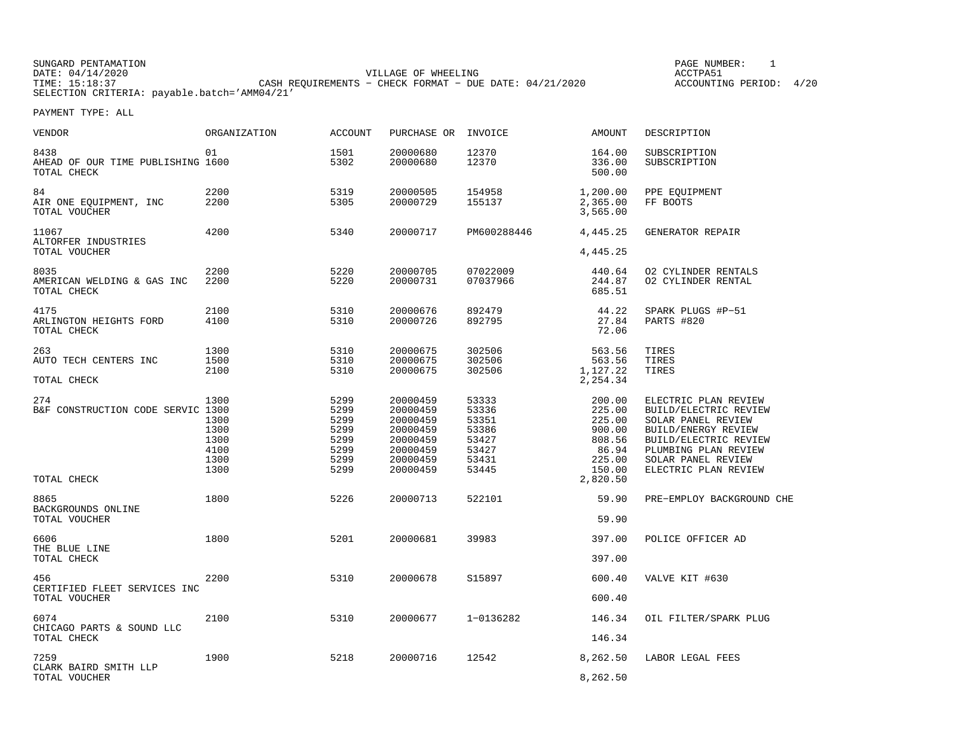SUNGARD PENTAMATION SUNGARD PENTAMATION SUNGARD PAGE NUMBER: 1 DATE: 04/14/2020 VILLAGE OF WHEELING ACCTPA51TIMES OF MILLINES CORPORTS − CHECK FORMAT - DUE DATE: 04/21/2020 SELECTION CRITERIA: payable.batch='AMM04/21'

ACCOUNTING PERIOD: 4/20

| VENDOR                                                   | ORGANIZATION                                         | ACCOUNT                                                      | PURCHASE OR                                                                                  | INVOICE                                                              | AMOUNT                                                                                  | DESCRIPTION                                                                                                                                                                               |
|----------------------------------------------------------|------------------------------------------------------|--------------------------------------------------------------|----------------------------------------------------------------------------------------------|----------------------------------------------------------------------|-----------------------------------------------------------------------------------------|-------------------------------------------------------------------------------------------------------------------------------------------------------------------------------------------|
| 8438<br>AHEAD OF OUR TIME PUBLISHING 1600<br>TOTAL CHECK | 01                                                   | 1501<br>5302                                                 | 20000680<br>20000680                                                                         | 12370<br>12370                                                       | 164.00<br>336.00<br>500.00                                                              | SUBSCRIPTION<br>SUBSCRIPTION                                                                                                                                                              |
| 84<br>AIR ONE EOUIPMENT, INC<br>TOTAL VOUCHER            | 2200<br>2200                                         | 5319<br>5305                                                 | 20000505<br>20000729                                                                         | 154958<br>155137                                                     | 1,200.00<br>2,365.00<br>3,565.00                                                        | PPE EQUIPMENT<br>FF BOOTS                                                                                                                                                                 |
| 11067<br>ALTORFER INDUSTRIES<br>TOTAL VOUCHER            | 4200                                                 | 5340                                                         | 20000717                                                                                     | PM600288446                                                          | 4,445.25<br>4,445.25                                                                    | GENERATOR REPAIR                                                                                                                                                                          |
| 8035<br>AMERICAN WELDING & GAS INC<br>TOTAL CHECK        | 2200<br>2200                                         | 5220<br>5220                                                 | 20000705<br>20000731                                                                         | 07022009<br>07037966                                                 | 440.64<br>244.87<br>685.51                                                              | 02 CYLINDER RENTALS<br>02 CYLINDER RENTAL                                                                                                                                                 |
| 4175<br>ARLINGTON HEIGHTS FORD<br>TOTAL CHECK            | 2100<br>4100                                         | 5310<br>5310                                                 | 20000676<br>20000726                                                                         | 892479<br>892795                                                     | 44.22<br>27.84<br>72.06                                                                 | SPARK PLUGS #P-51<br>PARTS #820                                                                                                                                                           |
| 263<br>AUTO TECH CENTERS INC                             | 1300<br>1500<br>2100                                 | 5310<br>5310<br>5310                                         | 20000675<br>20000675<br>20000675                                                             | 302506<br>302506<br>302506                                           | 563.56<br>563.56<br>1,127.22                                                            | TIRES<br>TIRES<br>TIRES                                                                                                                                                                   |
| TOTAL CHECK                                              |                                                      |                                                              |                                                                                              |                                                                      | 2,254.34                                                                                |                                                                                                                                                                                           |
| 274<br>B&F CONSTRUCTION CODE SERVIC 1300<br>TOTAL CHECK  | 1300<br>1300<br>1300<br>1300<br>4100<br>1300<br>1300 | 5299<br>5299<br>5299<br>5299<br>5299<br>5299<br>5299<br>5299 | 20000459<br>20000459<br>20000459<br>20000459<br>20000459<br>20000459<br>20000459<br>20000459 | 53333<br>53336<br>53351<br>53386<br>53427<br>53427<br>53431<br>53445 | 200.00<br>225.00<br>225.00<br>900.00<br>808.56<br>86.94<br>225.00<br>150.00<br>2,820.50 | ELECTRIC PLAN REVIEW<br>BUILD/ELECTRIC REVIEW<br>SOLAR PANEL REVIEW<br>BUILD/ENERGY REVIEW<br>BUILD/ELECTRIC REVIEW<br>PLUMBING PLAN REVIEW<br>SOLAR PANEL REVIEW<br>ELECTRIC PLAN REVIEW |
|                                                          |                                                      |                                                              |                                                                                              |                                                                      |                                                                                         |                                                                                                                                                                                           |
| 8865<br>BACKGROUNDS ONLINE<br>TOTAL VOUCHER              | 1800                                                 | 5226                                                         | 20000713                                                                                     | 522101                                                               | 59.90<br>59.90                                                                          | PRE-EMPLOY BACKGROUND CHE                                                                                                                                                                 |
| 6606<br>THE BLUE LINE<br>TOTAL CHECK                     | 1800                                                 | 5201                                                         | 20000681                                                                                     | 39983                                                                | 397.00<br>397.00                                                                        | POLICE OFFICER AD                                                                                                                                                                         |
| 456<br>CERTIFIED FLEET SERVICES INC<br>TOTAL VOUCHER     | 2200                                                 | 5310                                                         | 20000678                                                                                     | S15897                                                               | 600.40<br>600.40                                                                        | VALVE KIT #630                                                                                                                                                                            |
| 6074<br>CHICAGO PARTS & SOUND LLC<br>TOTAL CHECK         | 2100                                                 | 5310                                                         | 20000677                                                                                     | 1-0136282                                                            | 146.34<br>146.34                                                                        | OIL FILTER/SPARK PLUG                                                                                                                                                                     |
| 7259<br>CLARK BAIRD SMITH LLP<br>TOTAL VOUCHER           | 1900                                                 | 5218                                                         | 20000716                                                                                     | 12542                                                                | 8,262.50<br>8,262.50                                                                    | LABOR LEGAL FEES                                                                                                                                                                          |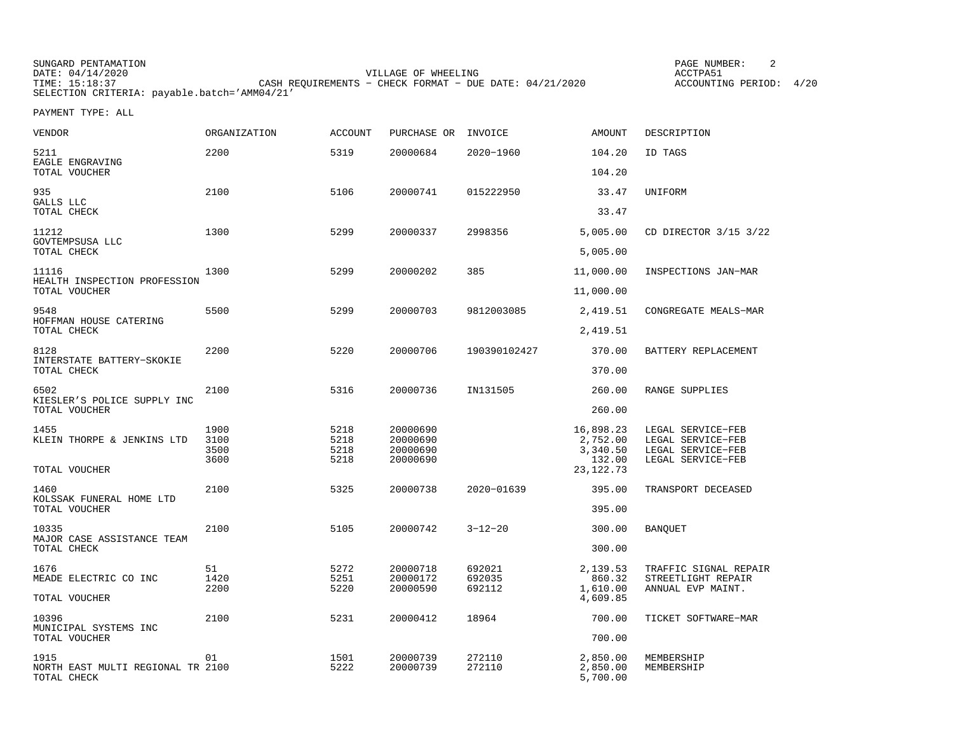SUNGARD PENTAMATION PAGE NUMBER: 2DATE: 04/14/2020 VILLAGE OF WHEELING ACCTPA51CASH REQUIREMENTS - CHECK FORMAT - DUE DATE: 04/21/2020 SELECTION CRITERIA: payable.batch='AMM04/21'

ACCOUNTING PERIOD: 4/20

| <b>VENDOR</b>                                            | ORGANIZATION                 | <b>ACCOUNT</b>               | PURCHASE OR                                  | INVOICE                    | <b>AMOUNT</b>                                              | DESCRIPTION                                                                      |
|----------------------------------------------------------|------------------------------|------------------------------|----------------------------------------------|----------------------------|------------------------------------------------------------|----------------------------------------------------------------------------------|
| 5211<br>EAGLE ENGRAVING                                  | 2200                         | 5319                         | 20000684                                     | 2020-1960                  | 104.20                                                     | ID TAGS                                                                          |
| TOTAL VOUCHER                                            |                              |                              |                                              |                            | 104.20                                                     |                                                                                  |
| 935<br>GALLS LLC                                         | 2100                         | 5106                         | 20000741                                     | 015222950                  | 33.47                                                      | UNIFORM                                                                          |
| TOTAL CHECK                                              |                              |                              |                                              |                            | 33.47                                                      |                                                                                  |
| 11212<br>GOVTEMPSUSA LLC<br>TOTAL CHECK                  | 1300                         | 5299                         | 20000337                                     | 2998356                    | 5,005.00                                                   | CD DIRECTOR 3/15 3/22                                                            |
|                                                          |                              |                              |                                              |                            | 5,005.00                                                   |                                                                                  |
| 11116<br>HEALTH INSPECTION PROFESSION<br>TOTAL VOUCHER   | 1300                         | 5299                         | 20000202                                     | 385                        | 11,000.00<br>11,000.00                                     | INSPECTIONS JAN-MAR                                                              |
|                                                          |                              |                              |                                              |                            |                                                            |                                                                                  |
| 9548<br>HOFFMAN HOUSE CATERING                           | 5500                         | 5299                         | 20000703                                     | 9812003085                 | 2,419.51                                                   | CONGREGATE MEALS-MAR                                                             |
| TOTAL CHECK                                              |                              |                              |                                              |                            | 2,419.51                                                   |                                                                                  |
| 8128                                                     | 2200                         | 5220                         | 20000706                                     | 190390102427               | 370.00                                                     | BATTERY REPLACEMENT                                                              |
| INTERSTATE BATTERY-SKOKIE<br>TOTAL CHECK                 |                              |                              |                                              |                            | 370.00                                                     |                                                                                  |
| 6502<br>KIESLER'S POLICE SUPPLY INC<br>TOTAL VOUCHER     | 2100                         | 5316                         | 20000736                                     | IN131505                   | 260.00<br>260.00                                           | RANGE SUPPLIES                                                                   |
| 1455<br>KLEIN THORPE & JENKINS LTD<br>TOTAL VOUCHER      | 1900<br>3100<br>3500<br>3600 | 5218<br>5218<br>5218<br>5218 | 20000690<br>20000690<br>20000690<br>20000690 |                            | 16,898.23<br>2,752.00<br>3,340.50<br>132.00<br>23, 122. 73 | LEGAL SERVICE-FEB<br>LEGAL SERVICE-FEB<br>LEGAL SERVICE-FEB<br>LEGAL SERVICE-FEB |
| 1460                                                     | 2100                         | 5325                         | 20000738                                     | 2020-01639                 | 395.00                                                     | TRANSPORT DECEASED                                                               |
| KOLSSAK FUNERAL HOME LTD<br>TOTAL VOUCHER                |                              |                              |                                              |                            | 395.00                                                     |                                                                                  |
| 10335<br>MAJOR CASE ASSISTANCE TEAM                      | 2100                         | 5105                         | 20000742                                     | $3 - 12 - 20$              | 300.00                                                     | <b>BANQUET</b>                                                                   |
| TOTAL CHECK                                              |                              |                              |                                              |                            | 300.00                                                     |                                                                                  |
| 1676<br>MEADE ELECTRIC CO INC                            | 51<br>1420<br>2200           | 5272<br>5251<br>5220         | 20000718<br>20000172<br>20000590             | 692021<br>692035<br>692112 | 2,139.53<br>860.32<br>1,610.00                             | TRAFFIC SIGNAL REPAIR<br>STREETLIGHT REPAIR<br>ANNUAL EVP MAINT.                 |
| TOTAL VOUCHER                                            |                              |                              |                                              |                            | 4,609.85                                                   |                                                                                  |
| 10396<br>MUNICIPAL SYSTEMS INC                           | 2100                         | 5231                         | 20000412                                     | 18964                      | 700.00                                                     | TICKET SOFTWARE-MAR                                                              |
| TOTAL VOUCHER                                            |                              |                              |                                              |                            | 700.00                                                     |                                                                                  |
| 1915<br>NORTH EAST MULTI REGIONAL TR 2100<br>TOTAL CHECK | 01                           | 1501<br>5222                 | 20000739<br>20000739                         | 272110<br>272110           | 2,850.00<br>2,850.00<br>5,700.00                           | MEMBERSHIP<br>MEMBERSHIP                                                         |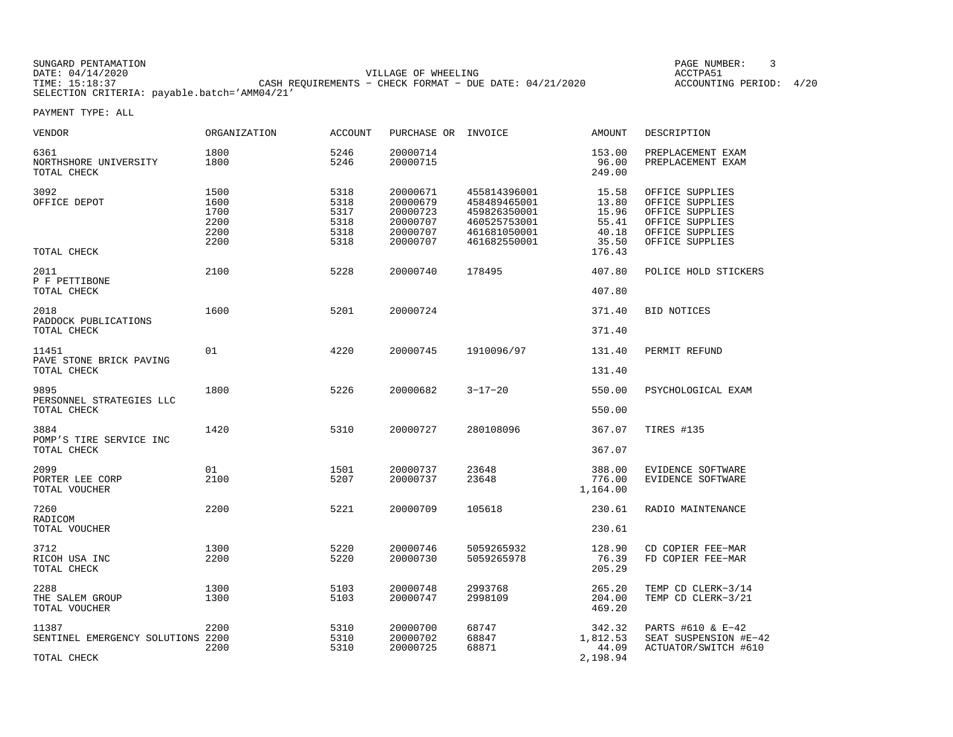| SUNGARD PENTAMATION                          |                                                           | PAGE NUMBER:               |
|----------------------------------------------|-----------------------------------------------------------|----------------------------|
| DATE: 04/14/2020                             | VILLAGE OF WHEELING                                       | ACCTPA5.                   |
| TIME: 15:18:37                               | CASH REOUIREMENTS - CHECK FORMAT - DUE DATE: $04/21/2020$ | 4/20<br>ACCOUNTING PERIOD: |
| SELECTION CRITERIA: payable.batch='AMM04/21' |                                                           |                            |

| <b>VENDOR</b>                                             | ORGANIZATION                                 | <b>ACCOUNT</b>                               | PURCHASE OR INVOICE                                                  |                                                                                              | <b>AMOUNT</b>                                                | DESCRIPTION                                                                                                    |
|-----------------------------------------------------------|----------------------------------------------|----------------------------------------------|----------------------------------------------------------------------|----------------------------------------------------------------------------------------------|--------------------------------------------------------------|----------------------------------------------------------------------------------------------------------------|
| 6361<br>NORTHSHORE UNIVERSITY<br>TOTAL CHECK              | 1800<br>1800                                 | 5246<br>5246                                 | 20000714<br>20000715                                                 |                                                                                              | 153.00<br>96.00<br>249.00                                    | PREPLACEMENT EXAM<br>PREPLACEMENT EXAM                                                                         |
| 3092<br>OFFICE DEPOT<br>TOTAL CHECK                       | 1500<br>1600<br>1700<br>2200<br>2200<br>2200 | 5318<br>5318<br>5317<br>5318<br>5318<br>5318 | 20000671<br>20000679<br>20000723<br>20000707<br>20000707<br>20000707 | 455814396001<br>458489465001<br>459826350001<br>460525753001<br>461681050001<br>461682550001 | 15.58<br>13.80<br>15.96<br>55.41<br>40.18<br>35.50<br>176.43 | OFFICE SUPPLIES<br>OFFICE SUPPLIES<br>OFFICE SUPPLIES<br>OFFICE SUPPLIES<br>OFFICE SUPPLIES<br>OFFICE SUPPLIES |
| 2011<br>P F PETTIBONE                                     | 2100                                         | 5228                                         | 20000740                                                             | 178495                                                                                       | 407.80                                                       | POLICE HOLD STICKERS                                                                                           |
| TOTAL CHECK                                               |                                              |                                              |                                                                      |                                                                                              | 407.80                                                       |                                                                                                                |
| 2018<br>PADDOCK PUBLICATIONS                              | 1600                                         | 5201                                         | 20000724                                                             |                                                                                              | 371.40                                                       | <b>BID NOTICES</b>                                                                                             |
| TOTAL CHECK                                               |                                              |                                              |                                                                      |                                                                                              | 371.40                                                       |                                                                                                                |
| 11451<br>PAVE STONE BRICK PAVING<br>TOTAL CHECK           | 01                                           | 4220                                         | 20000745                                                             | 1910096/97                                                                                   | 131.40<br>131.40                                             | PERMIT REFUND                                                                                                  |
| 9895                                                      | 1800                                         | 5226                                         | 20000682                                                             | $3 - 17 - 20$                                                                                | 550.00                                                       | PSYCHOLOGICAL EXAM                                                                                             |
| PERSONNEL STRATEGIES LLC<br>TOTAL CHECK                   |                                              |                                              |                                                                      |                                                                                              | 550.00                                                       |                                                                                                                |
| 3884<br>POMP'S TIRE SERVICE INC                           | 1420                                         | 5310                                         | 20000727                                                             | 280108096                                                                                    | 367.07                                                       | TIRES #135                                                                                                     |
| TOTAL CHECK                                               |                                              |                                              |                                                                      |                                                                                              | 367.07                                                       |                                                                                                                |
| 2099<br>PORTER LEE CORP<br>TOTAL VOUCHER                  | 01<br>2100                                   | 1501<br>5207                                 | 20000737<br>20000737                                                 | 23648<br>23648                                                                               | 388.00<br>776.00<br>1,164.00                                 | EVIDENCE SOFTWARE<br>EVIDENCE SOFTWARE                                                                         |
| 7260                                                      | 2200                                         | 5221                                         | 20000709                                                             | 105618                                                                                       | 230.61                                                       | RADIO MAINTENANCE                                                                                              |
| RADICOM<br>TOTAL VOUCHER                                  |                                              |                                              |                                                                      |                                                                                              | 230.61                                                       |                                                                                                                |
| 3712<br>RICOH USA INC<br>TOTAL CHECK                      | 1300<br>2200                                 | 5220<br>5220                                 | 20000746<br>20000730                                                 | 5059265932<br>5059265978                                                                     | 128.90<br>76.39<br>205.29                                    | CD COPIER FEE-MAR<br>FD COPIER FEE-MAR                                                                         |
| 2288<br>THE SALEM GROUP<br>TOTAL VOUCHER                  | 1300<br>1300                                 | 5103<br>5103                                 | 20000748<br>20000747                                                 | 2993768<br>2998109                                                                           | 265.20<br>204.00<br>469.20                                   | TEMP CD CLERK-3/14<br>TEMP CD CLERK-3/21                                                                       |
| 11387<br>SENTINEL EMERGENCY SOLUTIONS 2200<br>TOTAL CHECK | 2200<br>2200                                 | 5310<br>5310<br>5310                         | 20000700<br>20000702<br>20000725                                     | 68747<br>68847<br>68871                                                                      | 342.32<br>1,812.53<br>44.09<br>2,198.94                      | PARTS #610 & E-42<br>SEAT SUSPENSION #E-42<br>ACTUATOR/SWITCH #610                                             |